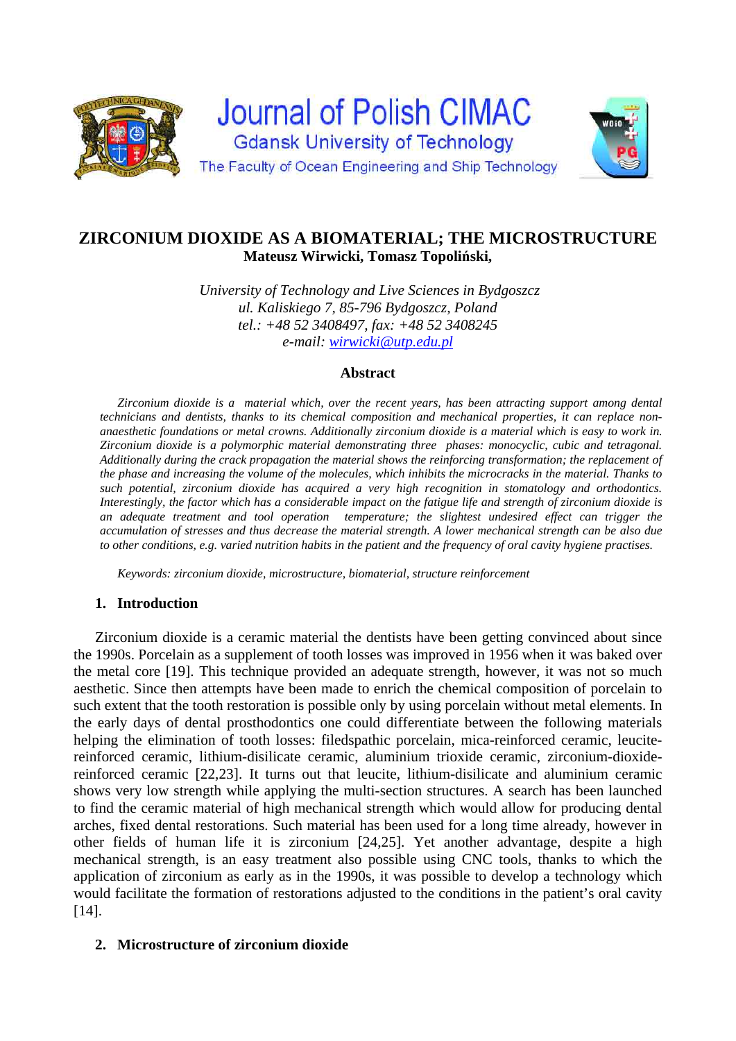

# **ZIRCONIUM DIOXIDE AS A BIOMATERIAL; THE MICROSTRUCTURE Mateusz Wirwicki, Tomasz Topoliński,**

*University of Technology and Live Sciences in Bydgoszcz ul. Kaliskiego 7, 85-796 Bydgoszcz, Poland tel.: +48 52 3408497, fax: +48 52 3408245 e-mail: wirwicki@utp.edu.pl*

## **Abstract**

*Zirconium dioxide is a material which, over the recent years, has been attracting support among dental technicians and dentists, thanks to its chemical composition and mechanical properties, it can replace nonanaesthetic foundations or metal crowns. Additionally zirconium dioxide is a material which is easy to work in. Zirconium dioxide is a polymorphic material demonstrating three phases: monocyclic, cubic and tetragonal. Additionally during the crack propagation the material shows the reinforcing transformation; the replacement of the phase and increasing the volume of the molecules, which inhibits the microcracks in the material. Thanks to such potential, zirconium dioxide has acquired a very high recognition in stomatology and orthodontics. Interestingly, the factor which has a considerable impact on the fatigue life and strength of zirconium dioxide is an adequate treatment and tool operation temperature; the slightest undesired effect can trigger the accumulation of stresses and thus decrease the material strength. A lower mechanical strength can be also due to other conditions, e.g. varied nutrition habits in the patient and the frequency of oral cavity hygiene practises.* 

*Keywords: zirconium dioxide, microstructure, biomaterial, structure reinforcement* 

## **1. Introduction**

Zirconium dioxide is a ceramic material the dentists have been getting convinced about since the 1990s. Porcelain as a supplement of tooth losses was improved in 1956 when it was baked over the metal core [19]. This technique provided an adequate strength, however, it was not so much aesthetic. Since then attempts have been made to enrich the chemical composition of porcelain to such extent that the tooth restoration is possible only by using porcelain without metal elements. In the early days of dental prosthodontics one could differentiate between the following materials helping the elimination of tooth losses: filedspathic porcelain, mica-reinforced ceramic, leucitereinforced ceramic, lithium-disilicate ceramic, aluminium trioxide ceramic, zirconium-dioxidereinforced ceramic [22,23]. It turns out that leucite, lithium-disilicate and aluminium ceramic shows very low strength while applying the multi-section structures. A search has been launched to find the ceramic material of high mechanical strength which would allow for producing dental arches, fixed dental restorations. Such material has been used for a long time already, however in other fields of human life it is zirconium [24,25]. Yet another advantage, despite a high mechanical strength, is an easy treatment also possible using CNC tools, thanks to which the application of zirconium as early as in the 1990s, it was possible to develop a technology which would facilitate the formation of restorations adjusted to the conditions in the patient's oral cavity [14].

## **2. Microstructure of zirconium dioxide**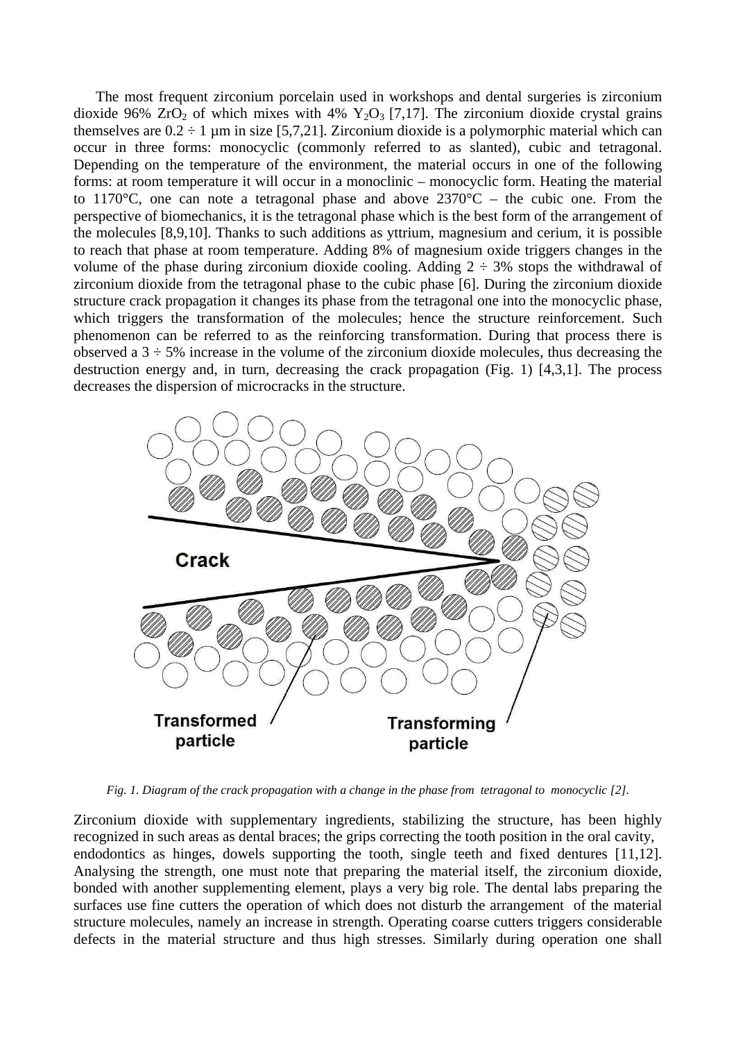The most frequent zirconium porcelain used in workshops and dental surgeries is zirconium dioxide 96%  $ZrO<sub>2</sub>$  of which mixes with 4%  $Y<sub>2</sub>O<sub>3</sub>$  [7,17]. The zirconium dioxide crystal grains themselves are  $0.2 \div 1$  µm in size [5,7,21]. Zirconium dioxide is a polymorphic material which can occur in three forms: monocyclic (commonly referred to as slanted), cubic and tetragonal. Depending on the temperature of the environment, the material occurs in one of the following forms: at room temperature it will occur in a monoclinic – monocyclic form. Heating the material to 1170 °C, one can note a tetragonal phase and above  $2370$  °C – the cubic one. From the perspective of biomechanics, it is the tetragonal phase which is the best form of the arrangement of the molecules [8,9,10]. Thanks to such additions as yttrium, magnesium and cerium, it is possible to reach that phase at room temperature. Adding 8% of magnesium oxide triggers changes in the volume of the phase during zirconium dioxide cooling. Adding  $2 \div 3\%$  stops the withdrawal of zirconium dioxide from the tetragonal phase to the cubic phase [6]. During the zirconium dioxide structure crack propagation it changes its phase from the tetragonal one into the monocyclic phase, which triggers the transformation of the molecules; hence the structure reinforcement. Such phenomenon can be referred to as the reinforcing transformation. During that process there is observed a  $3 \div 5\%$  increase in the volume of the zirconium dioxide molecules, thus decreasing the destruction energy and, in turn, decreasing the crack propagation (Fig. 1) [4,3,1]. The process decreases the dispersion of microcracks in the structure.



*Fig. 1. Diagram of the crack propagation with a change in the phase from tetragonal to monocyclic [2].* 

Zirconium dioxide with supplementary ingredients, stabilizing the structure, has been highly recognized in such areas as dental braces; the grips correcting the tooth position in the oral cavity, endodontics as hinges, dowels supporting the tooth, single teeth and fixed dentures [11,12]. Analysing the strength, one must note that preparing the material itself, the zirconium dioxide, bonded with another supplementing element, plays a very big role. The dental labs preparing the surfaces use fine cutters the operation of which does not disturb the arrangement of the material structure molecules, namely an increase in strength. Operating coarse cutters triggers considerable defects in the material structure and thus high stresses. Similarly during operation one shall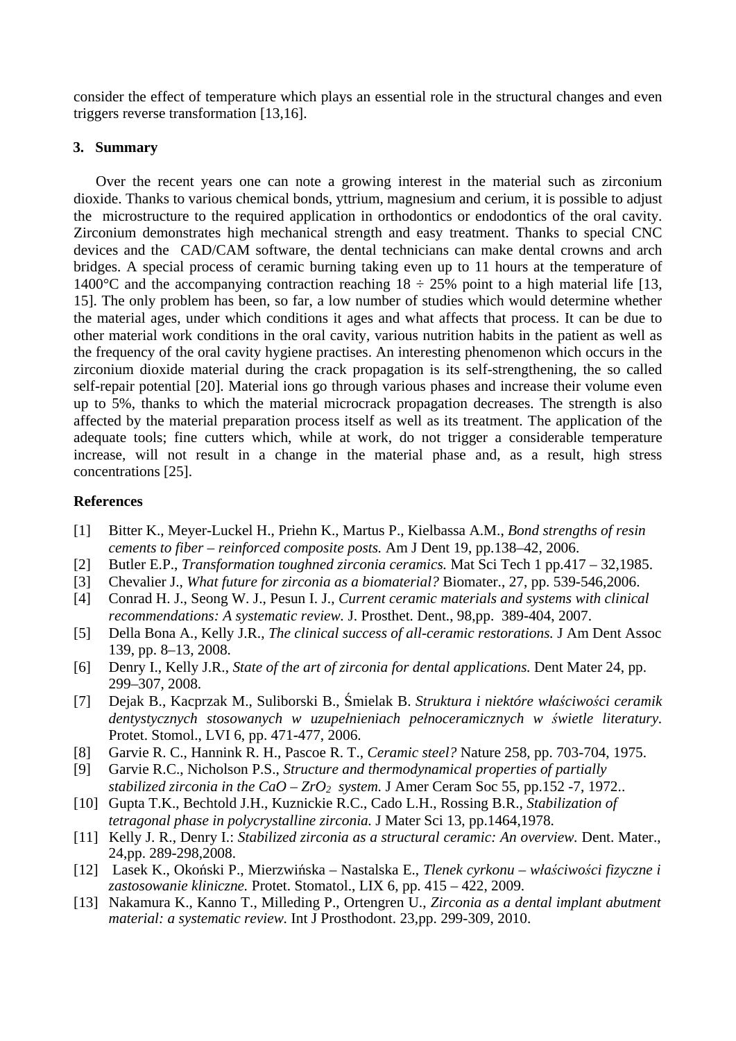consider the effect of temperature which plays an essential role in the structural changes and even triggers reverse transformation [13,16].

#### **3. Summary**

Over the recent years one can note a growing interest in the material such as zirconium dioxide. Thanks to various chemical bonds, yttrium, magnesium and cerium, it is possible to adjust the microstructure to the required application in orthodontics or endodontics of the oral cavity. Zirconium demonstrates high mechanical strength and easy treatment. Thanks to special CNC devices and the CAD/CAM software, the dental technicians can make dental crowns and arch bridges. A special process of ceramic burning taking even up to 11 hours at the temperature of 1400 °C and the accompanying contraction reaching  $18 \div 25\%$  point to a high material life [13, 15]. The only problem has been, so far, a low number of studies which would determine whether the material ages, under which conditions it ages and what affects that process. It can be due to other material work conditions in the oral cavity, various nutrition habits in the patient as well as the frequency of the oral cavity hygiene practises. An interesting phenomenon which occurs in the zirconium dioxide material during the crack propagation is its self-strengthening, the so called self-repair potential [20]. Material ions go through various phases and increase their volume even up to 5%, thanks to which the material microcrack propagation decreases. The strength is also affected by the material preparation process itself as well as its treatment. The application of the adequate tools; fine cutters which, while at work, do not trigger a considerable temperature increase, will not result in a change in the material phase and, as a result, high stress concentrations [25].

#### **References**

- [1] Bitter K., Meyer-Luckel H., Priehn K., Martus P., Kielbassa A.M., *Bond strengths of resin cements to fiber – reinforced composite posts.* Am J Dent 19, pp.138–42, 2006.
- [2] Butler E.P., *Transformation toughned zirconia ceramics.* Mat Sci Tech 1 pp.417 32,1985.
- [3] Chevalier J., *What future for zirconia as a biomaterial?* Biomater., 27, pp. 539-546,2006.
- [4] Conrad H. J., Seong W. J., Pesun I. J., *Current ceramic materials and systems with clinical recommendations: A systematic review.* J. Prosthet. Dent., 98,pp. 389-404, 2007.
- [5] Della Bona A., Kelly J.R., *The clinical success of all-ceramic restorations.* J Am Dent Assoc 139, pp. 8–13, 2008.
- [6] Denry I., Kelly J.R., *State of the art of zirconia for dental applications.* Dent Mater 24, pp. 299–307, 2008.
- [7] Dejak B., Kacprzak M., Suliborski B., Śmielak B. *Struktura i niektóre właściwości ceramik dentystycznych stosowanych w uzupełnieniach pełnoceramicznych w świetle literatury.* Protet. Stomol., LVI 6, pp. 471-477, 2006.
- [8] Garvie R. C., Hannink R. H., Pascoe R. T., *Ceramic steel?* Nature 258, pp. 703-704, 1975.
- [9] Garvie R.C., Nicholson P.S., *Structure and thermodynamical properties of partially stabilized zirconia in the CaO –*  $ZrO<sub>2</sub>$  *system.* J Amer Ceram Soc 55, pp.152 -7, 1972..
- [10] Gupta T.K., Bechtold J.H., Kuznickie R.C., Cado L.H., Rossing B.R., *Stabilization of tetragonal phase in polycrystalline zirconia.* J Mater Sci 13, pp.1464,1978.
- [11] Kelly J. R., Denry I.: *Stabilized zirconia as a structural ceramic: An overview.* Dent. Mater., 24,pp. 289-298,2008.
- [12] Lasek K., Okoński P., Mierzwińska Nastalska E., *Tlenek cyrkonu właściwości fizyczne i zastosowanie kliniczne.* Protet. Stomatol., LIX 6, pp. 415 – 422, 2009.
- [13] Nakamura K., Kanno T., Milleding P., Ortengren U., *Zirconia as a dental implant abutment material: a systematic review.* Int J Prosthodont. 23,pp. 299-309, 2010.